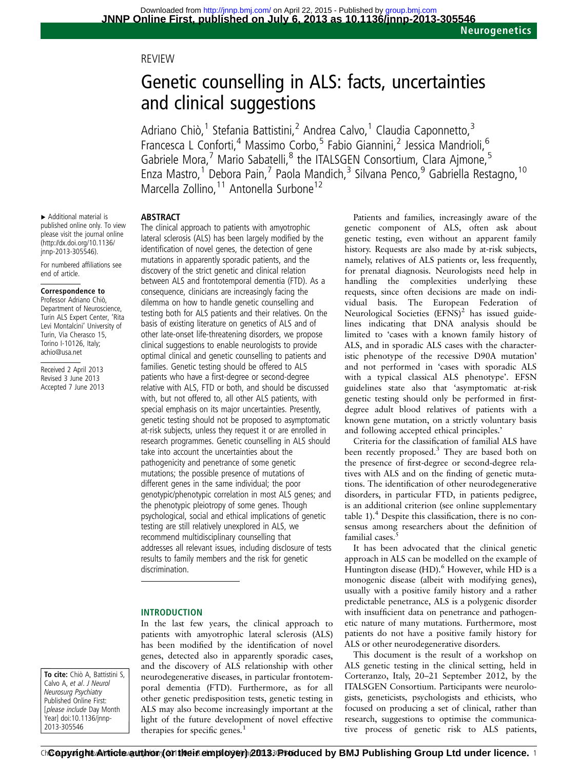### REVIEW

# Genetic counselling in ALS: facts, uncertainties and clinical suggestions

Adriano Chiò,<sup>1</sup> Stefania Battistini,<sup>2</sup> Andrea Calvo,<sup>1</sup> Claudia Caponnetto,<sup>3</sup> Francesca L Conforti,<sup>4</sup> Massimo Corbo,<sup>5</sup> Fabio Giannini,<sup>2</sup> Jessica Mandrioli,<sup>6</sup> Gabriele Mora,<sup>7</sup> Mario Sabatelli,<sup>8</sup> the ITALSGEN Consortium, Clara Ajmone,<sup>5</sup> Enza Mastro,<sup>1</sup> Debora Pain,<sup>7</sup> Paola Mandich,<sup>3</sup> Silvana Penco,<sup>9</sup> Gabriella Restagno,<sup>10</sup> Marcella Zollino,<sup>11</sup> Antonella Surbone<sup>12</sup>

### ABSTRACT

The clinical approach to patients with amyotrophic lateral sclerosis (ALS) has been largely modified by the identification of novel genes, the detection of gene mutations in apparently sporadic patients, and the discovery of the strict genetic and clinical relation between ALS and frontotemporal dementia (FTD). As a consequence, clinicians are increasingly facing the dilemma on how to handle genetic counselling and testing both for ALS patients and their relatives. On the basis of existing literature on genetics of ALS and of other late-onset life-threatening disorders, we propose clinical suggestions to enable neurologists to provide optimal clinical and genetic counselling to patients and families. Genetic testing should be offered to ALS patients who have a first-degree or second-degree relative with ALS, FTD or both, and should be discussed with, but not offered to, all other ALS patients, with special emphasis on its major uncertainties. Presently, genetic testing should not be proposed to asymptomatic at-risk subjects, unless they request it or are enrolled in research programmes. Genetic counselling in ALS should take into account the uncertainties about the pathogenicity and penetrance of some genetic mutations; the possible presence of mutations of different genes in the same individual; the poor genotypic/phenotypic correlation in most ALS genes; and the phenotypic pleiotropy of some genes. Though psychological, social and ethical implications of genetic testing are still relatively unexplored in ALS, we recommend multidisciplinary counselling that addresses all relevant issues, including disclosure of tests results to family members and the risk for genetic discrimination.

### INTRODUCTION

In the last few years, the clinical approach to patients with amyotrophic lateral sclerosis (ALS) has been modified by the identification of novel genes, detected also in apparently sporadic cases, and the discovery of ALS relationship with other neurodegenerative diseases, in particular frontotemporal dementia (FTD). Furthermore, as for all other genetic predisposition tests, genetic testing in ALS may also become increasingly important at the light of the future development of novel effective therapies for specific genes.<sup>1</sup>

Patients and families, increasingly aware of the genetic component of ALS, often ask about genetic testing, even without an apparent family history. Requests are also made by at-risk subjects, namely, relatives of ALS patients or, less frequently, for prenatal diagnosis. Neurologists need help in handling the complexities underlying these requests, since often decisions are made on individual basis. The European Federation of Neurological Societies  $(EFNS)^2$  has issued guidelines indicating that DNA analysis should be limited to 'cases with a known family history of ALS, and in sporadic ALS cases with the characteristic phenotype of the recessive D90A mutation' and not performed in 'cases with sporadic ALS with a typical classical ALS phenotype'. EFSN guidelines state also that 'asymptomatic at-risk genetic testing should only be performed in firstdegree adult blood relatives of patients with a known gene mutation, on a strictly voluntary basis and following accepted ethical principles.'

Criteria for the classification of familial ALS have been recently proposed.<sup>3</sup> They are based both on the presence of first-degree or second-degree relatives with ALS and on the finding of genetic mutations. The identification of other neurodegenerative disorders, in particular FTD, in patients pedigree, is an additional criterion (see online supplementary table  $1$ ).<sup>4</sup> Despite this classification, there is no consensus among researchers about the definition of familial cases.

It has been advocated that the clinical genetic approach in ALS can be modelled on the example of Huntington disease  $(HD)$ . However, while HD is a monogenic disease (albeit with modifying genes), usually with a positive family history and a rather predictable penetrance, ALS is a polygenic disorder with insufficient data on penetrance and pathogenetic nature of many mutations. Furthermore, most patients do not have a positive family history for ALS or other neurodegenerative disorders.

This document is the result of a workshop on ALS genetic testing in the clinical setting, held in Corteranzo, Italy, 20–21 September 2012, by the ITALSGEN Consortium. Participants were neurologists, geneticists, psychologists and ethicists, who focused on producing a set of clinical, rather than research, suggestions to optimise the communicative process of genetic risk to ALS patients,

▸ Additional material is published online only. To view please visit the journal online [\(http://dx.doi.org/10.1136/](http://dx.doi.org/10.1136/jnnp-2013-305546) [jnnp-2013-305546](http://dx.doi.org/10.1136/jnnp-2013-305546)).

For numbered affiliations see end of article.

#### Correspondence to

Professor Adriano Chiò, Department of Neuroscience, Turin ALS Expert Center, 'Rita Levi Montalcini' University of Turin, Via Cherasco 15, Torino I-10126, Italy; achio@usa.net

Received 2 April 2013 Revised 3 June 2013 Accepted 7 June 2013

To cite: Chiò A, Battistini S, Calvo A, et al. J Neurol Neurosurg Psychiatry Published Online First: [please include Day Month Year] doi:10.1136/jnnp-2013-305546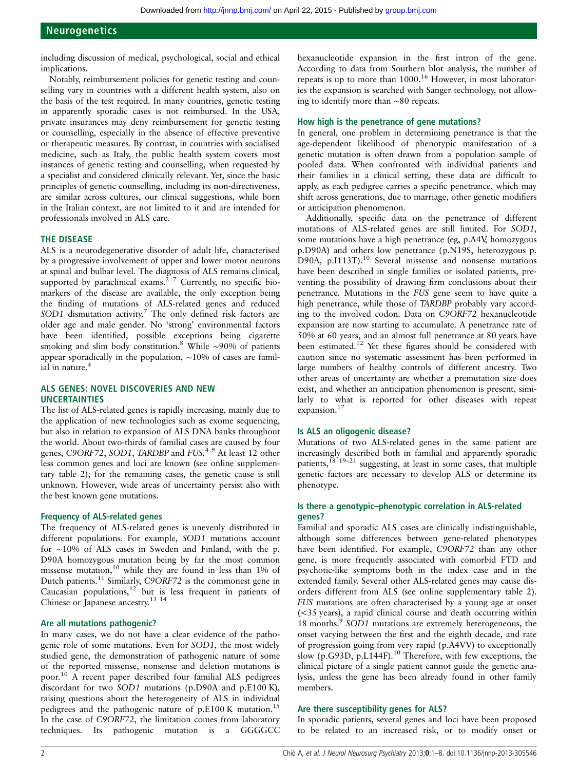including discussion of medical, psychological, social and ethical implications.

Notably, reimbursement policies for genetic testing and counselling vary in countries with a different health system, also on the basis of the test required. In many countries, genetic testing in apparently sporadic cases is not reimbursed. In the USA, private insurances may deny reimbursement for genetic testing or counselling, especially in the absence of effective preventive or therapeutic measures. By contrast, in countries with socialised medicine, such as Italy, the public health system covers most instances of genetic testing and counselling, when requested by a specialist and considered clinically relevant. Yet, since the basic principles of genetic counselling, including its non-directiveness, are similar across cultures, our clinical suggestions, while born in the Italian context, are not limited to it and are intended for professionals involved in ALS care.

### THE DISEASE

ALS is a neurodegenerative disorder of adult life, characterised by a progressive involvement of upper and lower motor neurons at spinal and bulbar level. The diagnosis of ALS remains clinical, supported by paraclinical exams.<sup>2 7</sup> Currently, no specific biomarkers of the disease are available, the only exception being the finding of mutations of ALS-related genes and reduced SOD1 dismutation activity.<sup>7</sup> The only defined risk factors are older age and male gender. No 'strong' environmental factors have been identified, possible exceptions being cigarette smoking and slim body constitution.<sup>8</sup> While ∼90% of patients appear sporadically in the population, ∼10% of cases are familial in nature.<sup>4</sup>

### ALS GENES: NOVEL DISCOVERIES AND NEW UNCERTAINTIES

The list of ALS-related genes is rapidly increasing, mainly due to the application of new technologies such as exome sequencing, but also in relation to expansion of ALS DNA banks throughout the world. About two-thirds of familial cases are caused by four genes, C9ORF72, SOD1, TARDBP and FUS.<sup>4</sup> <sup>9</sup> At least 12 other less common genes and loci are known (see online supplementary table 2); for the remaining cases, the genetic cause is still unknown. However, wide areas of uncertainty persist also with the best known gene mutations.

### Frequency of ALS-related genes

The frequency of ALS-related genes is unevenly distributed in different populations. For example, SOD1 mutations account for ∼10% of ALS cases in Sweden and Finland, with the p. D90A homozygous mutation being by far the most common missense mutation, $10$  while they are found in less than  $1\%$  of Dutch patients.11 Similarly, C9ORF72 is the commonest gene in Caucasian populations, $12$  but is less frequent in patients of Chinese or Japanese ancestry.<sup>13</sup><sup>14</sup>

### Are all mutations pathogenic?

In many cases, we do not have a clear evidence of the pathogenic role of some mutations. Even for SOD1, the most widely studied gene, the demonstration of pathogenic nature of some of the reported missense, nonsense and deletion mutations is poor.<sup>10</sup> A recent paper described four familial ALS pedigrees discordant for two SOD1 mutations (p.D90A and p.E100 K), raising questions about the heterogeneity of ALS in individual pedigrees and the pathogenic nature of p.E100 K mutation.<sup>15</sup> In the case of C9ORF72, the limitation comes from laboratory techniques. Its pathogenic mutation is a GGGGCC

hexanucleotide expansion in the first intron of the gene. According to data from Southern blot analysis, the number of repeats is up to more than  $1000<sup>16</sup>$  However, in most laboratories the expansion is searched with Sanger technology, not allowing to identify more than ∼80 repeats.

### How high is the penetrance of gene mutations?

In general, one problem in determining penetrance is that the age-dependent likelihood of phenotypic manifestation of a genetic mutation is often drawn from a population sample of pooled data. When confronted with individual patients and their families in a clinical setting, these data are difficult to apply, as each pedigree carries a specific penetrance, which may shift across generations, due to marriage, other genetic modifiers or anticipation phenomenon.

Additionally, specific data on the penetrance of different mutations of ALS-related genes are still limited. For SOD1, some mutations have a high penetrance (eg, p.A4V, homozygous p.D90A) and others low penetrance (p.N19S, heterozygous p. D90A, p.I113T).<sup>10</sup> Several missense and nonsense mutations have been described in single families or isolated patients, preventing the possibility of drawing firm conclusions about their penetrance. Mutations in the FUS gene seem to have quite a high penetrance, while those of TARDBP probably vary according to the involved codon. Data on C9ORF72 hexanucleotide expansion are now starting to accumulate. A penetrance rate of 50% at 60 years, and an almost full penetrance at 80 years have been estimated.12 Yet these figures should be considered with caution since no systematic assessment has been performed in large numbers of healthy controls of different ancestry. Two other areas of uncertainty are whether a premutation size does exist, and whether an anticipation phenomenon is present, similarly to what is reported for other diseases with repeat expansion.<sup>17</sup>

### Is ALS an oligogenic disease?

Mutations of two ALS-related genes in the same patient are increasingly described both in familial and apparently sporadic patients,<sup>18'19-21</sup> suggesting, at least in some cases, that multiple genetic factors are necessary to develop ALS or determine its phenotype.

### Is there a genotypic–phenotypic correlation in ALS-related genes?

Familial and sporadic ALS cases are clinically indistinguishable, although some differences between gene-related phenotypes have been identified. For example, C9ORF72 than any other gene, is more frequently associated with comorbid FTD and psychotic-like symptoms both in the index case and in the extended family. Several other ALS-related genes may cause disorders different from ALS (see online supplementary table 2). FUS mutations are often characterised by a young age at onset (<35 years), a rapid clinical course and death occurring within 18 months.<sup>9</sup> SOD1 mutations are extremely heterogeneous, the onset varying between the first and the eighth decade, and rate of progression going from very rapid (p.A4VV) to exceptionally slow (p.G93D, p.L144F).<sup>10</sup> Therefore, with few exceptions, the clinical picture of a single patient cannot guide the genetic analysis, unless the gene has been already found in other family members.

### Are there susceptibility genes for ALS?

In sporadic patients, several genes and loci have been proposed to be related to an increased risk, or to modify onset or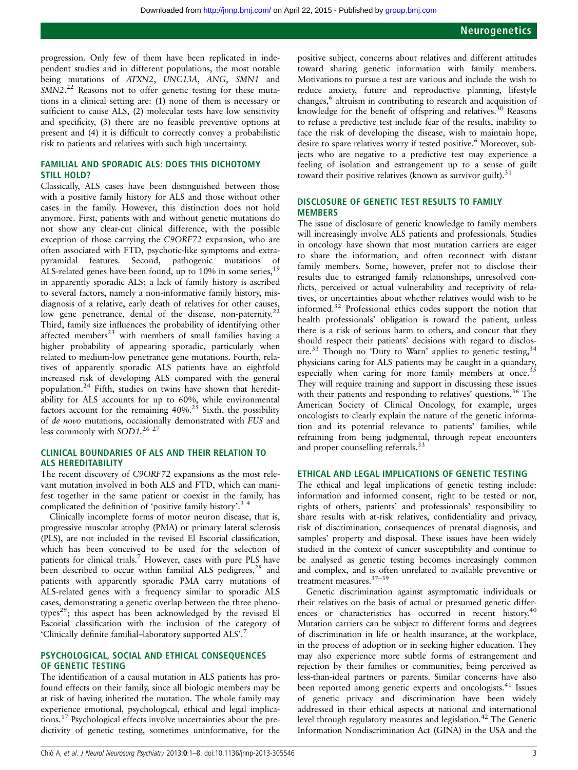progression. Only few of them have been replicated in independent studies and in different populations, the most notable being mutations of ATXN2, UNC13A, ANG, SMN1 and SMN2.<sup>22</sup> Reasons not to offer genetic testing for these mutations in a clinical setting are: (1) none of them is necessary or sufficient to cause ALS, (2) molecular tests have low sensitivity and specificity, (3) there are no feasible preventive options at present and (4) it is difficult to correctly convey a probabilistic risk to patients and relatives with such high uncertainty.

### FAMILIAL AND SPORADIC ALS: DOES THIS DICHOTOMY STILL HOLD?

Classically, ALS cases have been distinguished between those with a positive family history for ALS and those without other cases in the family. However, this distinction does not hold anymore. First, patients with and without genetic mutations do not show any clear-cut clinical difference, with the possible exception of those carrying the C9ORF72 expansion, who are often associated with FTD, psychotic-like symptoms and extrapyramidal features. Second, pathogenic mutations of ALS-related genes have been found, up to 10% in some series.<sup>19</sup> in apparently sporadic ALS; a lack of family history is ascribed to several factors, namely a non-informative family history, misdiagnosis of a relative, early death of relatives for other causes, low gene penetrance, denial of the disease, non-paternity.<sup>22</sup> Third, family size influences the probability of identifying other affected members<sup>23</sup> with members of small families having a higher probability of appearing sporadic, particularly when related to medium-low penetrance gene mutations. Fourth, relatives of apparently sporadic ALS patients have an eightfold increased risk of developing ALS compared with the general population.24 Fifth, studies on twins have shown that hereditability for ALS accounts for up to 60%, while environmental factors account for the remaining  $40\%$ <sup>25</sup> Sixth, the possibility of de novo mutations, occasionally demonstrated with FUS and less commonly with SOD1.<sup>26</sup> <sup>27</sup>

### CLINICAL BOUNDARIES OF ALS AND THEIR RELATION TO ALS HEREDITABILITY

The recent discovery of C9ORF72 expansions as the most relevant mutation involved in both ALS and FTD, which can manifest together in the same patient or coexist in the family, has complicated the definition of 'positive family history'.<sup>34</sup>

Clinically incomplete forms of motor neuron disease, that is, progressive muscular atrophy (PMA) or primary lateral sclerosis (PLS), are not included in the revised El Escorial classification, which has been conceived to be used for the selection of patients for clinical trials.<sup>7</sup> However, cases with pure PLS have been described to occur within familial ALS pedigrees,<sup>28</sup> and patients with apparently sporadic PMA carry mutations of ALS-related genes with a frequency similar to sporadic ALS cases, demonstrating a genetic overlap between the three phenotypes<sup>29</sup>; this aspect has been acknowledged by the revised El Escorial classification with the inclusion of the category of 'Clinically definite familial–laboratory supported ALS'. 7

### PSYCHOLOGICAL, SOCIAL AND ETHICAL CONSEQUENCES OF GENETIC TESTING

The identification of a causal mutation in ALS patients has profound effects on their family, since all biologic members may be at risk of having inherited the mutation. The whole family may experience emotional, psychological, ethical and legal implications.<sup>17</sup> Psychological effects involve uncertainties about the predictivity of genetic testing, sometimes uninformative, for the

positive subject, concerns about relatives and different attitudes toward sharing genetic information with family members. Motivations to pursue a test are various and include the wish to reduce anxiety, future and reproductive planning, lifestyle changes,<sup>6</sup> altruism in contributing to research and acquisition of knowledge for the benefit of offspring and relatives.<sup>30</sup> Reasons to refuse a predictive test include fear of the results, inability to face the risk of developing the disease, wish to maintain hope, desire to spare relatives worry if tested positive.<sup>6</sup> Moreover, subjects who are negative to a predictive test may experience a feeling of isolation and estrangement up to a sense of guilt toward their positive relatives (known as survivor guilt).<sup>31</sup>

### DISCLOSURE OF GENETIC TEST RESULTS TO FAMILY MEMBERS

The issue of disclosure of genetic knowledge to family members will increasingly involve ALS patients and professionals. Studies in oncology have shown that most mutation carriers are eager to share the information, and often reconnect with distant family members. Some, however, prefer not to disclose their results due to estranged family relationships, unresolved conflicts, perceived or actual vulnerability and receptivity of relatives, or uncertainties about whether relatives would wish to be informed.<sup>32</sup> Professional ethics codes support the notion that health professionals' obligation is toward the patient, unless there is a risk of serious harm to others, and concur that they should respect their patients' decisions with regard to disclosure.<sup>33</sup> Though no 'Duty to Warn' applies to genetic testing,  $34$ physicians caring for ALS patients may be caught in a quandary, especially when caring for more family members at once.<sup>35</sup> They will require training and support in discussing these issues with their patients and responding to relatives' questions.<sup>36</sup> The American Society of Clinical Oncology, for example, urges oncologists to clearly explain the nature of the genetic information and its potential relevance to patients' families, while refraining from being judgmental, through repeat encounters and proper counselling referrals.<sup>33</sup>

### ETHICAL AND LEGAL IMPLICATIONS OF GENETIC TESTING

The ethical and legal implications of genetic testing include: information and informed consent, right to be tested or not, rights of others, patients' and professionals' responsibility to share results with at-risk relatives, confidentiality and privacy, risk of discrimination, consequences of prenatal diagnosis, and samples' property and disposal. These issues have been widely studied in the context of cancer susceptibility and continue to be analysed as genetic testing becomes increasingly common and complex, and is often unrelated to available preventive or treatment measures.37–<sup>39</sup>

Genetic discrimination against asymptomatic individuals or their relatives on the basis of actual or presumed genetic differences or characteristics has occurred in recent history.<sup>40</sup> Mutation carriers can be subject to different forms and degrees of discrimination in life or health insurance, at the workplace, in the process of adoption or in seeking higher education. They may also experience more subtle forms of estrangement and rejection by their families or communities, being perceived as less-than-ideal partners or parents. Similar concerns have also been reported among genetic experts and oncologists.<sup>41</sup> Issues of genetic privacy and discrimination have been widely addressed in their ethical aspects at national and international level through regulatory measures and legislation.<sup>42</sup> The Genetic Information Nondiscrimination Act (GINA) in the USA and the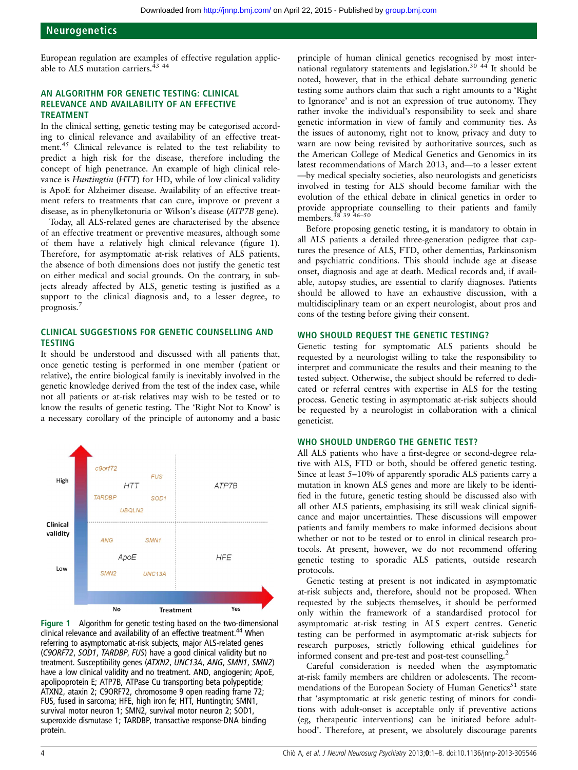### **Neurogenetics**

European regulation are examples of effective regulation applicable to ALS mutation carriers.<sup>43</sup> <sup>44</sup>

### AN ALGORITHM FOR GENETIC TESTING: CLINICAL RELEVANCE AND AVAILABILITY OF AN EFFECTIVE TREATMENT

In the clinical setting, genetic testing may be categorised according to clinical relevance and availability of an effective treatment.<sup>45</sup> Clinical relevance is related to the test reliability to predict a high risk for the disease, therefore including the concept of high penetrance. An example of high clinical relevance is Huntingtin (HTT) for HD, while of low clinical validity is ApoE for Alzheimer disease. Availability of an effective treatment refers to treatments that can cure, improve or prevent a disease, as in phenylketonuria or Wilson's disease (ATP7B gene).

Today, all ALS-related genes are characterised by the absence of an effective treatment or preventive measures, although some of them have a relatively high clinical relevance (figure 1). Therefore, for asymptomatic at-risk relatives of ALS patients, the absence of both dimensions does not justify the genetic test on either medical and social grounds. On the contrary, in subjects already affected by ALS, genetic testing is justified as a support to the clinical diagnosis and, to a lesser degree, to prognosis.<sup>7</sup>

### CLINICAL SUGGESTIONS FOR GENETIC COUNSELLING AND TESTING

It should be understood and discussed with all patients that, once genetic testing is performed in one member (patient or relative), the entire biological family is inevitably involved in the genetic knowledge derived from the test of the index case, while not all patients or at-risk relatives may wish to be tested or to know the results of genetic testing. The 'Right Not to Know' is a necessary corollary of the principle of autonomy and a basic





principle of human clinical genetics recognised by most international regulatory statements and legislation.<sup>30</sup><sup>44</sup> It should be noted, however, that in the ethical debate surrounding genetic testing some authors claim that such a right amounts to a 'Right to Ignorance' and is not an expression of true autonomy. They rather invoke the individual's responsibility to seek and share genetic information in view of family and community ties. As the issues of autonomy, right not to know, privacy and duty to warn are now being revisited by authoritative sources, such as the American College of Medical Genetics and Genomics in its latest recommendations of March 2013, and—to a lesser extent —by medical specialty societies, also neurologists and geneticists involved in testing for ALS should become familiar with the evolution of the ethical debate in clinical genetics in order to provide appropriate counselling to their patients and family members.<sup>38</sup> 39 46-50

Before proposing genetic testing, it is mandatory to obtain in all ALS patients a detailed three-generation pedigree that captures the presence of ALS, FTD, other dementias, Parkinsonism and psychiatric conditions. This should include age at disease onset, diagnosis and age at death. Medical records and, if available, autopsy studies, are essential to clarify diagnoses. Patients should be allowed to have an exhaustive discussion, with a multidisciplinary team or an expert neurologist, about pros and cons of the testing before giving their consent.

#### WHO SHOULD REQUEST THE GENETIC TESTING?

Genetic testing for symptomatic ALS patients should be requested by a neurologist willing to take the responsibility to interpret and communicate the results and their meaning to the tested subject. Otherwise, the subject should be referred to dedicated or referral centres with expertise in ALS for the testing process. Genetic testing in asymptomatic at-risk subjects should be requested by a neurologist in collaboration with a clinical geneticist.

### WHO SHOULD UNDERGO THE GENETIC TEST?

All ALS patients who have a first-degree or second-degree relative with ALS, FTD or both, should be offered genetic testing. Since at least 5–10% of apparently sporadic ALS patients carry a mutation in known ALS genes and more are likely to be identified in the future, genetic testing should be discussed also with all other ALS patients, emphasising its still weak clinical significance and major uncertainties. These discussions will empower patients and family members to make informed decisions about whether or not to be tested or to enrol in clinical research protocols. At present, however, we do not recommend offering genetic testing to sporadic ALS patients, outside research protocols.

Genetic testing at present is not indicated in asymptomatic at-risk subjects and, therefore, should not be proposed. When requested by the subjects themselves, it should be performed only within the framework of a standardised protocol for asymptomatic at-risk testing in ALS expert centres. Genetic testing can be performed in asymptomatic at-risk subjects for research purposes, strictly following ethical guidelines for informed consent and pre-test and post-test counselling.<sup>2</sup>

Careful consideration is needed when the asymptomatic at-risk family members are children or adolescents. The recommendations of the European Society of Human Genetics $51$  state that 'asymptomatic at risk genetic testing of minors for conditions with adult-onset is acceptable only if preventive actions (eg, therapeutic interventions) can be initiated before adulthood'. Therefore, at present, we absolutely discourage parents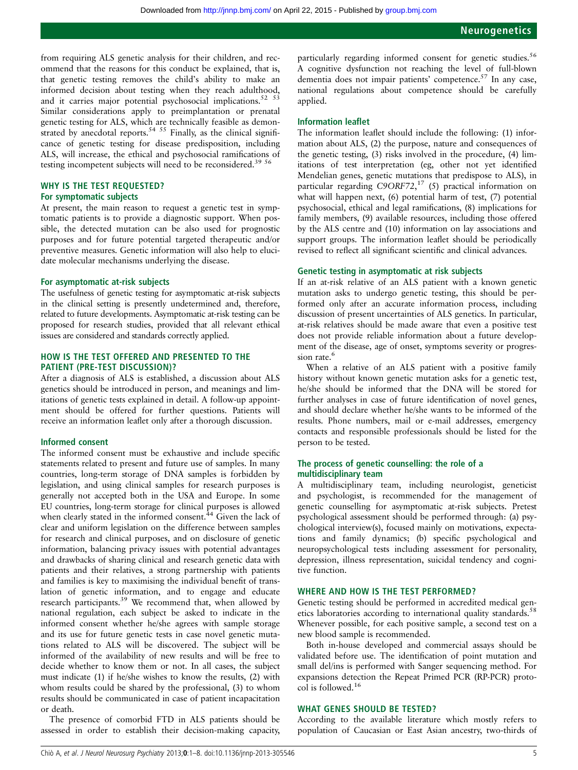from requiring ALS genetic analysis for their children, and recommend that the reasons for this conduct be explained, that is, that genetic testing removes the child's ability to make an informed decision about testing when they reach adulthood, and it carries major potential psychosocial implications.<sup>52</sup> <sup>53</sup> Similar considerations apply to preimplantation or prenatal genetic testing for ALS, which are technically feasible as demonstrated by anecdotal reports.<sup>54 55</sup> Finally, as the clinical significance of genetic testing for disease predisposition, including ALS, will increase, the ethical and psychosocial ramifications of testing incompetent subjects will need to be reconsidered.39 56

### WHY IS THE TEST REQUESTED?

### For symptomatic subjects

At present, the main reason to request a genetic test in symptomatic patients is to provide a diagnostic support. When possible, the detected mutation can be also used for prognostic purposes and for future potential targeted therapeutic and/or preventive measures. Genetic information will also help to elucidate molecular mechanisms underlying the disease.

### For asymptomatic at-risk subjects

The usefulness of genetic testing for asymptomatic at-risk subjects in the clinical setting is presently undetermined and, therefore, related to future developments. Asymptomatic at-risk testing can be proposed for research studies, provided that all relevant ethical issues are considered and standards correctly applied.

### HOW IS THE TEST OFFERED AND PRESENTED TO THE PATIENT (PRE-TEST DISCUSSION)?

After a diagnosis of ALS is established, a discussion about ALS genetics should be introduced in person, and meanings and limitations of genetic tests explained in detail. A follow-up appointment should be offered for further questions. Patients will receive an information leaflet only after a thorough discussion.

### Informed consent

The informed consent must be exhaustive and include specific statements related to present and future use of samples. In many countries, long-term storage of DNA samples is forbidden by legislation, and using clinical samples for research purposes is generally not accepted both in the USA and Europe. In some EU countries, long-term storage for clinical purposes is allowed when clearly stated in the informed consent. $44$  Given the lack of clear and uniform legislation on the difference between samples for research and clinical purposes, and on disclosure of genetic information, balancing privacy issues with potential advantages and drawbacks of sharing clinical and research genetic data with patients and their relatives, a strong partnership with patients and families is key to maximising the individual benefit of translation of genetic information, and to engage and educate research participants.<sup>39</sup> We recommend that, when allowed by national regulation, each subject be asked to indicate in the informed consent whether he/she agrees with sample storage and its use for future genetic tests in case novel genetic mutations related to ALS will be discovered. The subject will be informed of the availability of new results and will be free to decide whether to know them or not. In all cases, the subject must indicate (1) if he/she wishes to know the results, (2) with whom results could be shared by the professional, (3) to whom results should be communicated in case of patient incapacitation or death.

The presence of comorbid FTD in ALS patients should be assessed in order to establish their decision-making capacity,

particularly regarding informed consent for genetic studies.<sup>56</sup> A cognitive dysfunction not reaching the level of full-blown dementia does not impair patients' competence.<sup>57</sup> In any case, national regulations about competence should be carefully applied.

### Information leaflet

The information leaflet should include the following: (1) information about ALS, (2) the purpose, nature and consequences of the genetic testing, (3) risks involved in the procedure, (4) limitations of test interpretation (eg, other not yet identified Mendelian genes, genetic mutations that predispose to ALS), in particular regarding C9ORF72,<sup>17</sup> (5) practical information on what will happen next, (6) potential harm of test, (7) potential psychosocial, ethical and legal ramifications, (8) implications for family members, (9) available resources, including those offered by the ALS centre and (10) information on lay associations and support groups. The information leaflet should be periodically revised to reflect all significant scientific and clinical advances.

### Genetic testing in asymptomatic at risk subjects

If an at-risk relative of an ALS patient with a known genetic mutation asks to undergo genetic testing, this should be performed only after an accurate information process, including discussion of present uncertainties of ALS genetics. In particular, at-risk relatives should be made aware that even a positive test does not provide reliable information about a future development of the disease, age of onset, symptoms severity or progression rate.<sup>6</sup>

When a relative of an ALS patient with a positive family history without known genetic mutation asks for a genetic test, he/she should be informed that the DNA will be stored for further analyses in case of future identification of novel genes, and should declare whether he/she wants to be informed of the results. Phone numbers, mail or e-mail addresses, emergency contacts and responsible professionals should be listed for the person to be tested.

### The process of genetic counselling: the role of a multidisciplinary team

A multidisciplinary team, including neurologist, geneticist and psychologist, is recommended for the management of genetic counselling for asymptomatic at-risk subjects. Pretest psychological assessment should be performed through: (a) psychological interview(s), focused mainly on motivations, expectations and family dynamics; (b) specific psychological and neuropsychological tests including assessment for personality, depression, illness representation, suicidal tendency and cognitive function.

### WHERE AND HOW IS THE TEST PERFORMED?

Genetic testing should be performed in accredited medical genetics laboratories according to international quality standards.<sup>58</sup> Whenever possible, for each positive sample, a second test on a new blood sample is recommended.

Both in-house developed and commercial assays should be validated before use. The identification of point mutation and small del/ins is performed with Sanger sequencing method. For expansions detection the Repeat Primed PCR (RP-PCR) protocol is followed.16

### WHAT GENES SHOULD BE TESTED?

According to the available literature which mostly refers to population of Caucasian or East Asian ancestry, two-thirds of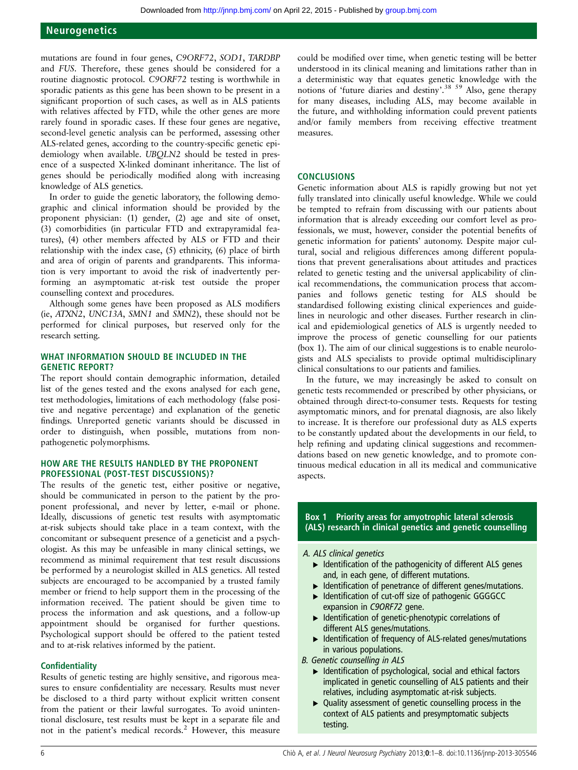mutations are found in four genes, C9ORF72, SOD1, TARDBP and FUS. Therefore, these genes should be considered for a routine diagnostic protocol. C9ORF72 testing is worthwhile in sporadic patients as this gene has been shown to be present in a significant proportion of such cases, as well as in ALS patients with relatives affected by FTD, while the other genes are more rarely found in sporadic cases. If these four genes are negative, second-level genetic analysis can be performed, assessing other ALS-related genes, according to the country-specific genetic epidemiology when available. UBQLN2 should be tested in presence of a suspected X-linked dominant inheritance. The list of genes should be periodically modified along with increasing knowledge of ALS genetics.

In order to guide the genetic laboratory, the following demographic and clinical information should be provided by the proponent physician: (1) gender, (2) age and site of onset, (3) comorbidities (in particular FTD and extrapyramidal features), (4) other members affected by ALS or FTD and their relationship with the index case, (5) ethnicity, (6) place of birth and area of origin of parents and grandparents. This information is very important to avoid the risk of inadvertently performing an asymptomatic at-risk test outside the proper counselling context and procedures.

Although some genes have been proposed as ALS modifiers (ie, ATXN2, UNC13A, SMN1 and SMN2), these should not be performed for clinical purposes, but reserved only for the research setting.

### WHAT INFORMATION SHOULD BE INCLUDED IN THE GENETIC REPORT?

The report should contain demographic information, detailed list of the genes tested and the exons analysed for each gene, test methodologies, limitations of each methodology (false positive and negative percentage) and explanation of the genetic findings. Unreported genetic variants should be discussed in order to distinguish, when possible, mutations from nonpathogenetic polymorphisms.

### HOW ARE THE RESULTS HANDLED BY THE PROPONENT PROFESSIONAL (POST-TEST DISCUSSIONS)?

The results of the genetic test, either positive or negative, should be communicated in person to the patient by the proponent professional, and never by letter, e-mail or phone. Ideally, discussions of genetic test results with asymptomatic at-risk subjects should take place in a team context, with the concomitant or subsequent presence of a geneticist and a psychologist. As this may be unfeasible in many clinical settings, we recommend as minimal requirement that test result discussions be performed by a neurologist skilled in ALS genetics. All tested subjects are encouraged to be accompanied by a trusted family member or friend to help support them in the processing of the information received. The patient should be given time to process the information and ask questions, and a follow-up appointment should be organised for further questions. Psychological support should be offered to the patient tested and to at-risk relatives informed by the patient.

### **Confidentiality**

Results of genetic testing are highly sensitive, and rigorous measures to ensure confidentiality are necessary. Results must never be disclosed to a third party without explicit written consent from the patient or their lawful surrogates. To avoid unintentional disclosure, test results must be kept in a separate file and not in the patient's medical records.<sup>2</sup> However, this measure

could be modified over time, when genetic testing will be better understood in its clinical meaning and limitations rather than in a deterministic way that equates genetic knowledge with the notions of 'future diaries and destiny'. 38 59 Also, gene therapy for many diseases, including ALS, may become available in the future, and withholding information could prevent patients and/or family members from receiving effective treatment measures.

### **CONCLUSIONS**

Genetic information about ALS is rapidly growing but not yet fully translated into clinically useful knowledge. While we could be tempted to refrain from discussing with our patients about information that is already exceeding our comfort level as professionals, we must, however, consider the potential benefits of genetic information for patients' autonomy. Despite major cultural, social and religious differences among different populations that prevent generalisations about attitudes and practices related to genetic testing and the universal applicability of clinical recommendations, the communication process that accompanies and follows genetic testing for ALS should be standardised following existing clinical experiences and guidelines in neurologic and other diseases. Further research in clinical and epidemiological genetics of ALS is urgently needed to improve the process of genetic counselling for our patients (box 1). The aim of our clinical suggestions is to enable neurologists and ALS specialists to provide optimal multidisciplinary clinical consultations to our patients and families.

In the future, we may increasingly be asked to consult on genetic tests recommended or prescribed by other physicians, or obtained through direct-to-consumer tests. Requests for testing asymptomatic minors, and for prenatal diagnosis, are also likely to increase. It is therefore our professional duty as ALS experts to be constantly updated about the developments in our field, to help refining and updating clinical suggestions and recommendations based on new genetic knowledge, and to promote continuous medical education in all its medical and communicative aspects.

### Box 1 Priority areas for amyotrophic lateral sclerosis (ALS) research in clinical genetics and genetic counselling

- ▶ Identification of the pathogenicity of different ALS genes and, in each gene, of different mutations.
	- ▶ Identification of penetrance of different genes/mutations.
	- Identification of cut-off size of pathogenic GGGGCC expansion in C9ORF72 gene.
	- ▸ Identification of genetic-phenotypic correlations of different ALS genes/mutations.
	- ▶ Identification of frequency of ALS-related genes/mutations in various populations.
- 
- $\blacktriangleright$  Identification of psychological, social and ethical factors implicated in genetic counselling of ALS patients and their relatives, including asymptomatic at-risk subjects.
	- ▸ Quality assessment of genetic counselling process in the context of ALS patients and presymptomatic subjects testing.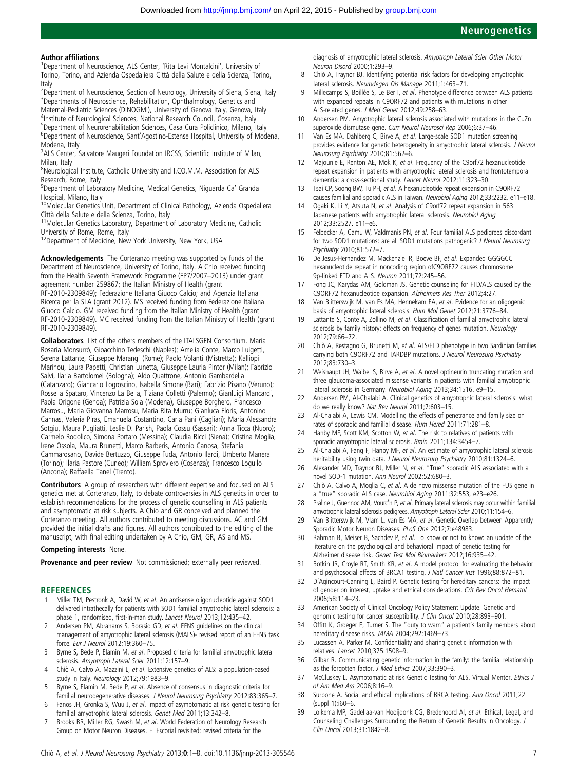### Author affiliations <sup>1</sup>

<sup>1</sup>Department of Neuroscience, ALS Center, 'Rita Levi Montalcini', University of Torino, Torino, and Azienda Ospedaliera Città della Salute e della Scienza, Torino, Italy

<sup>2</sup>Department of Neuroscience, Section of Neurology, University of Siena, Siena, Italy <sup>3</sup>Departments of Neuroscience, Rehabilitation, Ophthalmology, Genetics and Maternal-Pediatric Sciences (DINOGMI), University of Genova Italy, Genova, Italy 4 Institute of Neurological Sciences, National Research Council, Cosenza, Italy <sup>5</sup>Department of Neurorehabilitation Sciences, Casa Cura Policlinico, Milano, Italy <sup>6</sup>Department of Neuroscience, Sant'Agostino-Estense Hospital, University of Modena, Modena, Italy

<sup>7</sup>ALS Center, Salvatore Maugeri Foundation IRCSS, Scientific Institute of Milan, Milan, Italy

<sup>8</sup>Neurological Institute, Catholic University and I.CO.M.M. Association for ALS Research, Rome, Italy

<sup>9</sup>Department of Laboratory Medicine, Medical Genetics, Niguarda Ca' Granda Hospital, Milano, Italy

10Molecular Genetics Unit, Department of Clinical Pathology, Azienda Ospedaliera Città della Salute e della Scienza, Torino, Italy

<sup>11</sup>Molecular Genetics Laboratory, Department of Laboratory Medicine, Catholic University of Rome, Rome, Italy

12Department of Medicine, New York University, New York, USA

Acknowledgements The Corteranzo meeting was supported by funds of the Department of Neuroscience, University of Torino, Italy. A Chio received funding from the Health Seventh Framework Programme (FP7/2007–2013) under grant agreement number 259867; the Italian Ministry of Health (grant RF-2010-2309849); Federazione Italiana Giuoco Calcio; and Agenzia Italiana Ricerca per la SLA (grant 2012). MS received funding from Federazione Italiana Giuoco Calcio. GM received funding from the Italian Ministry of Health (grant RF-2010-2309849). MC received funding from the Italian Ministry of Health (grant RF-2010-2309849).

Collaborators List of the others members of the ITALSGEN Consortium. Maria Rosaria Monsurrò, Gioacchino Tedeschi (Naples); Amelia Conte, Marco Luigetti, Serena Lattante, Giuseppe Marangi (Rome); Paolo Volanti (Mistretta); Kalliopi Marinou, Laura Papetti, Christian Lunetta, Giuseppe Lauria Pintor (Milan); Fabrizio Salvi, Ilaria Bartolomei (Bologna); Aldo Quattrone, Antonio Gambardella (Catanzaro); Giancarlo Logroscino, Isabella Simone (Bari); Fabrizio Pisano (Veruno); Rossella Spataro, Vincenzo La Bella, Tiziana Colletti (Palermo); Gianluigi Mancardi, Paola Origone (Genoa); Patrizia Sola (Modena), Giuseppe Borghero, Francesco Marrosu, Maria Giovanna Marrosu, Maria Rita Murru; Gianluca Floris, Antonino Cannas, Valeria Piras, Emanuela Costantino, Carla Pani (Cagliari); Maria Alessandra Sotgiu, Maura Pugliatti, Leslie D. Parish, Paola Cossu (Sassari); Anna Ticca (Nuoro); Carmelo Rodolico, Simona Portaro (Messina); Claudia Ricci (Siena); Cristina Moglia, Irene Ossola, Maura Brunetti, Marco Barberis, Antonio Canosa, Stefania Cammarosano, Davide Bertuzzo, Giuseppe Fuda, Antonio Ilardi, Umberto Manera (Torino); Ilaria Pastore (Cuneo); William Sproviero (Cosenza); Francesco Logullo (Ancona); Raffaella Tanel (Trento).

Contributors A group of researchers with different expertise and focused on ALS genetics met at Corteranzo, Italy, to debate controversies in ALS genetics in order to establish recommendations for the process of genetic counselling in ALS patients and asymptomatic at risk subjects. A Chio and GR conceived and planned the Corteranzo meeting. All authors contributed to meeting discussions. AC and GM provided the initial drafts and figures. All authors contributed to the editing of the manuscript, with final editing undertaken by A Chio, GM, GR, AS and MS.

#### Competing interests None.

Provenance and peer review Not commissioned; externally peer reviewed.

#### **REFERENCES**

- 1 Miller TM, Pestronk A, David W, et al. An antisense oligonucleotide against SOD1 delivered intrathecally for patients with SOD1 familial amyotrophic lateral sclerosis: a phase 1, randomised, first-in-man study. Lancet Neurol 2013;12:435–42.
- 2 Andersen PM, Abrahams S, Borasio GD, et al. EFNS guidelines on the clinical management of amyotrophic lateral sclerosis (MALS)- revised report of an EFNS task force. Eur J Neurol 2012;19:360–75.
- 3 Byrne S, Bede P, Elamin M, et al. Proposed criteria for familial amyotrophic lateral sclerosis. Amyotroph Lateral Scler 2011;12:157–9.
- 4 Chiò A, Calvo A, Mazzini L, et al. Extensive genetics of ALS: a population-based study in Italy. Neurology 2012;79:1983–9.
- 5 Byrne S, Elamin M, Bede P, et al. Absence of consensus in diagnostic criteria for familial neurodegenerative diseases. J Neurol Neurosurg Psychiatry 2012;83:365–7.
- 6 Fanos JH, Gronka S, Wuu J, et al. Impact of asymptomatic at risk genetic testing for familial amyotrophic lateral sclerosis. Genet Med 2011;13:342–8.
- 7 Brooks BR, Miller RG, Swash M, et al. World Federation of Neurology Research Group on Motor Neuron Diseases. El Escorial revisited: revised criteria for the

diagnosis of amyotrophic lateral sclerosis. Amyotroph Lateral Scler Other Motor Neuron Disord 2000;1:293–9.

- 8 Chiò A, Traynor BJ. Identifying potential risk factors for developing amyotrophic lateral sclerosis. Neurodegen Dis Manage 2011;1:463–71.
- 9 Millecamps S, Boillée S, Le Ber I, et al. Phenotype difference between ALS patients with expanded repeats in C9ORF72 and patients with mutations in other ALS-related genes. J Med Genet 2012;49:258–63.
- 10 Andersen PM. Amyotrophic lateral sclerosis associated with mutations in the CuZn superoxide dismutase gene. Curr Neurol Neurosci Rep 2006;6:37-46.
- 11 Van Es MA, Dahlberg C, Birve A, et al. Large-scale SOD1 mutation screening provides evidence for genetic heterogeneity in amyotrophic lateral sclerosis. J Neurol Neurosurg Psychiatry 2010;81:562–6.
- 12 Majounie E, Renton AE, Mok K, et al. Frequency of the C9orf72 hexanucleotide repeat expansion in patients with amyotrophic lateral sclerosis and frontotemporal dementia: a cross-sectional study. Lancet Neurol 2012;11:323–30.
- 13 Tsai CP, Soong BW, Tu PH, et al. A hexanucleotide repeat expansion in C9ORF72 causes familial and sporadic ALS in Taiwan. Neurobiol Aging 2012;33:2232. e11–e18.
- 14 Ogaki K, Li Y, Atsuta N, et al. Analysis of C9orf72 repeat expansion in 563 Japanese patients with amyotrophic lateral sclerosis. Neurobiol Aging 2012;33:2527. e11–e6.
- 15 Felbecker A, Camu W, Valdmanis PN, et al. Four familial ALS pedigrees discordant for two SOD1 mutations: are all SOD1 mutations pathogenic? J Neurol Neurosurg Psychiatry 2010;81:572–7.
- 16 De Jesus-Hernandez M, Mackenzie IR, Boeve BF, et al. Expanded GGGGCC hexanucleotide repeat in noncoding region ofC9ORF72 causes chromosome 9p-linked FTD and ALS. Neuron 2011;72:245–56.
- 17 Fong JC, Karydas AM, Goldman JS. Genetic counseling for FTD/ALS caused by the C9ORF72 hexanucleotide expansion. Alzheimers Res Ther 2012;4:27.
- 18 Van Blitterswijk M, van Es MA, Hennekam EA, et al. Evidence for an oligogenic basis of amyotrophic lateral sclerosis. Hum Mol Genet 2012;21:3776–84.
- 19 Lattante S, Conte A, Zollino M, et al. Classification of familial amyotrophic lateral sclerosis by family history: effects on frequency of genes mutation. Neurology 2012;79:66–72.
- 20 Chiò A, Restagno G, Brunetti M, et al. ALS/FTD phenotype in two Sardinian families carrying both C9ORF72 and TARDBP mutations. J Neurol Neurosurg Psychiatry 2012;83:730–3.
- 21 Weishaupt JH, Waibel S, Birve A, et al. A novel optineurin truncating mutation and three glaucoma-associated missense variants in patients with familial amyotrophic lateral sclerosis in Germany. Neurobiol Aging 2013;34:1516. e9–15.
- 22 Andersen PM, Al-Chalabi A. Clinical genetics of amyotrophic lateral sclerosis: what do we really know? Nat Rev Neurol 2011;7:603–15.
- 23 Al-Chalabi A, Lewis CM. Modelling the effects of penetrance and family size on rates of sporadic and familial disease. Hum Hered 2011;71:281–8.
- 24 Hanby MF, Scott KM, Scotton W, et al. The risk to relatives of patients with sporadic amyotrophic lateral sclerosis. Brain 2011;134:3454–7.
- 25 Al-Chalabi A, Fang F, Hanby MF, et al. An estimate of amyotrophic lateral sclerosis heritability using twin data. J Neurol Neurosurg Psychiatry 2010;81:1324-6.
- 26 Alexander MD, Traynor BJ, Miller N, et al. "True" sporadic ALS associated with a novel SOD-1 mutation. Ann Neurol 2002;52:680–3.
- 27 Chiò A, Calvo A, Moglia C, et al. A de novo missense mutation of the FUS gene in a "true" sporadic ALS case. Neurobiol Aging 2011;32:553, e23–e26.
- 28 Praline J, Guennoc AM, Vourc'h P, et al. Primary lateral sclerosis may occur within familial amyotrophic lateral sclerosis pedigrees. Amyotroph Lateral Scler 2010;11:154-6.
- 29 Van Blitterswijk M, Vlam L, van Es MA, et al. Genetic Overlap between Apparently Sporadic Motor Neuron Diseases. PLoS One 2012;7:e48983.
- 30 Rahman B, Meiser B, Sachdev P, et al. To know or not to know: an update of the literature on the psychological and behavioral impact of genetic testing for Alzheimer disease risk. Genet Test Mol Biomarkers 2012;16:935–42.
- 31 Botkin JR, Croyle RT, Smith KR, et al. A model protocol for evaluating the behavior and psychosocial effects of BRCA1 testing. J Natl Cancer Inst 1996;88:872–81.
- 32 D'Agincourt-Canning L, Baird P. Genetic testing for hereditary cancers: the impact of gender on interest, uptake and ethical considerations. Crit Rev Oncol Hematol 2006;58:114–23.
- 33 American Society of Clinical Oncology Policy Statement Update. Genetic and genomic testing for cancer susceptibility. J Clin Oncol 2010;28:893–901.
- 34 Offitt K, Groeger E, Turner S. The "duty to warn" a patient's family members about hereditary disease risks. JAMA 2004;292:1469-73.
- 35 Lucassen A, Parker M. Confidentiality and sharing genetic information with relatives. Lancet 2010;375:1508–9.
- 36 Gilbar R. Communicating genetic information in the family: the familial relationship as the forgotten factor. J Med Ethics 2007;33:390–3.
- 37 McCluskey L. Asymptomatic at risk Genetic Testing for ALS. Virtual Mentor. Ethics J of Am Med Ass 2006;8:16–9.
- 38 Surbone A. Social and ethical implications of BRCA testing. Ann Oncol 2011;22 (suppl 1):i60–6.
- 39 Lolkema MP, Gadellaa-van Hooijdonk CG, Bredenoord Al, et al. Ethical, Legal, and Counseling Challenges Surrounding the Return of Genetic Results in Oncology. J Clin Oncol 2013;31:1842–8.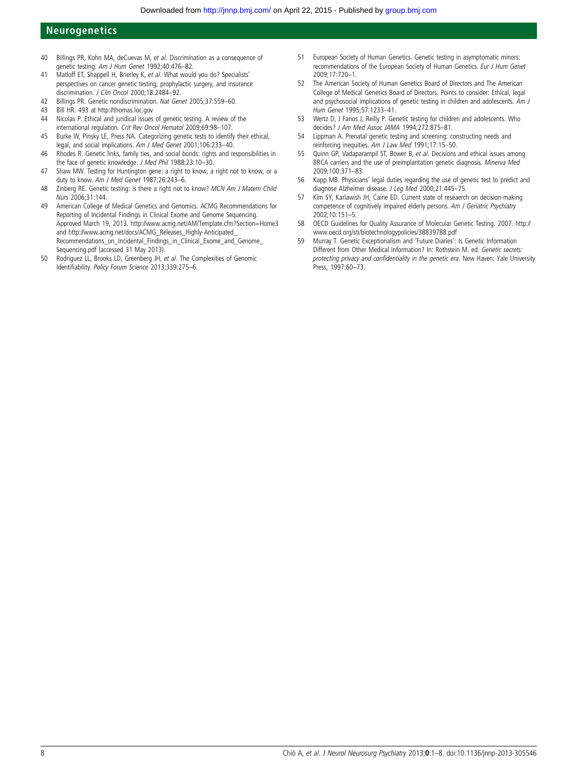### **Neurogenetics**

- 40 Billings PR, Kohn MA, deCuevas M, et al. Discrimination as a consequence of genetic testing. Am J Hum Genet 1992;40:476–82.
- 41 Matloff ET, Shappell H, Brierley K, et al. What would you do? Specialists' perspectives on cancer genetic testing, prophylactic surgery, and insurance discrimination. J Clin Oncol 2000;18:2484–92.
- 42 Billings PR. Genetic nondiscrimination. Nat Genet 2005;37:559-60.
- 43 Bill HR. 493 at [http://thomas.loc.gov](http://dx.doi.org/10.1136/jnnp-2013-305726)
- 44 Nicolas P. Ethical and juridical issues of genetic testing. A review of the international regulation. Crit Rev Oncol Hematol 2009;69:98–107.
- 45 Burke W, Pinsky LE, Press NA. Categorizing genetic tests to identify their ethical, legal, and social implications. Am J Med Genet 2001;106:233–40.
- 46 Rhodes R. Genetic links, family ties, and social bonds: rights and responsibilities in the face of genetic knowledge. J Med Phil 1988;23:10-30.
- 47 Shaw MW. Testing for Huntington gene: a right to know, a right not to know, or a duty to know. Am J Med Genet 1987;26:243–6.
- 48 Zinberg RE. Genetic testing: is there a right not to know? MCN Am J Matern Child Nurs 2006;31:144.
- 49 American College of Medical Genetics and Genomics. ACMG Recommendations for Reporting of Incidental Findings in Clinical Exome and Genome Sequencing. Approved March 19, 2013. [http://www.acmg.net/AM/Template.cfm?Section=Home3](http://dx.doi.org/10.1136/jnnp-2013-305727) and [http://www.acmg.net/docs/ACMG\\_Releases\\_Highly-Anticipated\\_](http://thomas.loc.gov) [Recommendations\\_on\\_Incidental\\_Findings\\_in\\_Clinical\\_Exome\\_and\\_Genome\\_](http://thomas.loc.gov) [Sequencing.pdf](http://thomas.loc.gov) (accessed 31 May 2013).
- 50 Rodriguez LL, Brooks LD, Greenberg JH, et al. The Complexities of Genomic Identifiability. Policy Forum Science 2013;339:275–6.
- 51 European Society of Human Genetics. Genetic testing in asymptomatic minors: recommendations of the European Society of Human Genetics. Eur J Hum Genet 2009;17:720–1.
- 52 The American Society of Human Genetics Board of Directors and The American College of Medical Genetics Board of Directors. Points to consider: Ethical, legal and psychosocial implications of genetic testing in children and adolescents. Am J Hum Genet 1995;57:1233–41.
- 53 Wertz D, J Fanos J, Reilly P. Genetic testing for children and adolescents. Who decides? J Am Med Assoc JAMA 1994;272:875–81.
- 54 Lippman A. Prenatal genetic testing and screening: constructing needs and reinforcing inequities. Am J Law Med 1991;17:15–50.
- 55 Quinn GP, Vadaparampil ST, Bower B, et al. Decisions and ethical issues among BRCA carriers and the use of preimplantation genetic diagnosis. Minerva Med 2009;100:371–83.
- 56 Kapp MB. Physicians' legal duties regarding the use of genetic test to predict and diagnose Alzheimer disease. J Leg Med 2000;21:445–75.
- 57 Kim SY, Karlawish JH, Caine ED. Current state of reseaerch on decision-making competence of cognitively impaired elderly persons. Am J Geriatric Psychiatry 2002;10:151–5.
- 58 OECD Guidelines for Quality Assurance of Molecular Genetic Testing. 2007. [http://](http://www.acmg.net/AM/Template.cfm?Section=Home3) [www.oecd.org/sti/biotechnologypolicies/38839788.pdf](http://www.acmg.net/AM/Template.cfm?Section=Home3)
- 59 Murray T. Genetic Exceptionalism and 'Future Diaries': Is Genetic Information Different from Other Medical Information? In: Rothstein M. ed. Genetic secrets: protecting privacy and confidentiality in the genetic era. New Haven: Yale University Press, 1997:60–73.